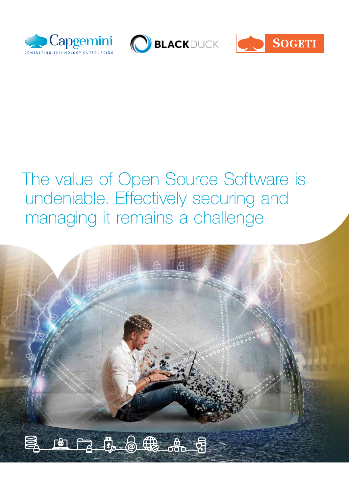





# The value of Open Source Software is undeniable. Effectively securing and managing it remains a challenge

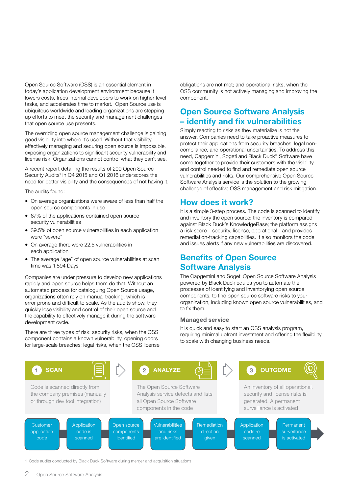Open Source Software (OSS) is an essential element in today's application development environment because it lowers costs, frees internal developers to work on higher-level tasks, and accelerates time to market. Open Source use is ubiquitous worldwide and leading organizations are stepping up efforts to meet the security and management challenges that open source use presents.

The overriding open source management challenge is gaining good visibility into where it's used. Without that visibility, effectively managing and securing open source is impossible, exposing organizations to significant security vulnerability and license risk. Organizations cannot control what they can't see.

A recent report detailing the results of 200 Open Source Security Audits<sup>1</sup> in Q4 2015 and Q1 2016 underscores the need for better visibility and the consequences of not having it.

The audits found:

- On average organizations were aware of less than half the open source components in use
- 67% of the applications contained open source security vulnerabilities
- 39.5% of open source vulnerabilities in each application were "severe"
- On average there were 22.5 vulnerabilities in each application
- The average "age" of open source vulnerabilities at scan time was 1,894 Days

Companies are under pressure to develop new applications rapidly and open source helps them do that. Without an automated process for cataloguing Open Source usage, organizations often rely on manual tracking, which is error prone and difficult to scale. As the audits show, they quickly lose visibility and control of their open source and the capability to effectively manage it during the software development cycle.

There are three types of risk: security risks, when the OSS component contains a known vulnerability, opening doors for large-scale breaches; legal risks, when the OSS license

obligations are not met; and operational risks, when the OSS community is not actively managing and improving the component.

### Open Source Software Analysis – identify and fix vulnerabilities

Simply reacting to risks as they materialize is not the answer. Companies need to take proactive measures to protect their applications from security breaches, legal noncompliance, and operational uncertainties. To address this need, Capgemini, Sogeti and Black Duck® Software have come together to provide their customers with the visibility and control needed to find and remediate open source vulnerabilities and risks. Our comprehensive Open Source Software Analysis service is the solution to the growing challenge of effective OSS management and risk mitigation.

### How does it work?

It is a simple 3-step process. The code is scanned to identify and inventory the open source; the inventory is compared against Black Duck's KnowledgeBase; the platform assigns a risk score – security, license, operational - and provides remediation-tracking capabilities. It also monitors the code and issues alerts if any new vulnerabilities are discovered.

### Benefits of Open Source Software Analysis

The Capgemini and Sogeti Open Source Software Analysis powered by Black Duck equips you to automate the processes of identifying and inventorying open source components, to find open source software risks to your organization, including known open source vulnerabilities, and to fix them.

#### Managed service

It is quick and easy to start an OSS analysis program, requiring minimal upfront investment and offering the flexibility to scale with changing business needs.



1 Code audits conducted by Black Duck Software during merger and acquisition situations.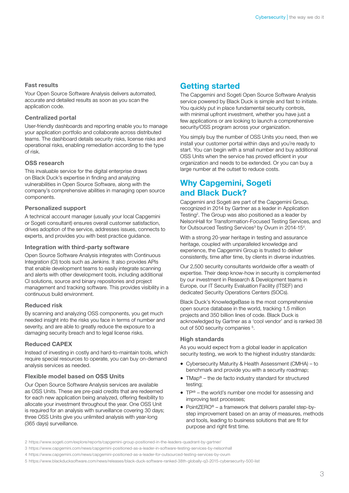#### Fast results

Your Open Source Software Analysis delivers automated, accurate and detailed results as soon as you scan the application code.

#### Centralized portal

User-friendly dashboards and reporting enable you to manage your application portfolio and collaborate across distributed teams. The dashboard details security risks, license risks and operational risks, enabling remediation according to the type of risk.

#### OSS research

This invaluable service for the digital enterprise draws on Black Duck's expertise in finding and analyzing vulnerabilities in Open Source Software, along with the company's comprehensive abilities in managing open source components.

#### Personalized support

A technical account manager (usually your local Capgemini or Sogeti consultant) ensures overall customer satisfaction, drives adoption of the service, addresses issues, connects to experts, and provides you with best practice guidance.

#### Integration with third-party software

Open Source Software Analysis integrates with Continuous Integration (CI) tools such as Jenkins. It also provides APIs that enable development teams to easily integrate scanning and alerts with other development tools, including additional CI solutions, source and binary repositories and project management and tracking software. This provides visibility in a continuous build environment.

#### Reduced risk

By scanning and analyzing OSS components, you get much needed insight into the risks you face in terms of number and severity, and are able to greatly reduce the exposure to a damaging security breach and to legal license risks.

#### Reduced CAPEX

Instead of investing in costly and hard-to-maintain tools, which require special resources to operate, you can buy on-demand analysis services as needed.

#### Flexible model based on OSS Units

Our Open Source Software Analysis services are available as OSS Units. These are pre-paid credits that are redeemed for each new application being analyzed, offering flexibility to allocate your investment throughout the year. One OSS Unit is required for an analysis with surveillance covering 30 days; three OSS Units give you unlimited analysis with year-long (365 days) surveillance.

### Getting started

The Capgemini and Sogeti Open Source Software Analysis service powered by Black Duck is simple and fast to initiate. You quickly put in place fundamental security controls, with minimal upfront investment, whether you have just a few applications or are looking to launch a comprehensive security/OSS program across your organization.

You simply buy the number of OSS Units you need, then we install your customer portal within days and you're ready to start. You can begin with a small number and buy additional OSS Units when the service has proved efficient in your organization and needs to be extended. Or you can buy a large number at the outset to reduce costs.

### Why Capgemini, Sogeti and Black Duck?

Capgemini and Sogeti are part of the Capgemini Group, recognized in 2014 by Gartner as a leader in Application Testing<sup>2</sup>. The Group was also positioned as a leader by NelsonHall for Transformation-Focused Testing Services, and for Outsourced Testing Services<sup>3</sup> by Ovum in 2014-15<sup>4</sup>.

With a strong 20-year heritage in testing and assurance heritage, coupled with unparalleled knowledge and experience, the Capgemini Group is trusted to deliver consistently, time after time, by clients in diverse industries.

Our 2,500 security consultants worldwide offer a wealth of expertise. Their deep know-how in security is complemented by our investment in Research & Development teams in Europe, our IT Security Evaluation Facility (ITSEF) and dedicated Security Operations Centers (SOCs).

Black Duck's KnowledgeBase is the most comprehensive open source database in the world, tracking 1.5 million projects and 350 billion lines of code. Black Duck is acknowledged by Gartner as a 'cool vendor' and is ranked 38 out of 500 security companies <sup>5</sup>.

#### High standards

As you would expect from a global leader in application security testing, we work to the highest industry standards:

- Cybersecurity Maturity & Health Assessment (CMHA) to benchmark and provide you with a security roadmap;
- TMap<sup>®</sup> the de facto industry standard for structured testing;
- TP<sup>I®</sup> the world's number one model for assessing and improving test processes;
- PointZERO® a framework that delivers parallel step-bystep improvement based on an array of measures, methods and tools, leading to business solutions that are fit for purpose and right first time.

5 <https://www.blackducksoftware.com/news/releases/black-duck-software-ranked-38th-globally-q3-2015-cybersecurity-500-list>

<sup>2</sup> <https://www.sogeti.com/explore/reports/capgemini-group-positioned-in-the-leaders-quadrant-by-gartner/>

<sup>3</sup> <https://www.capgemini.com/news/capgemini-positioned-as-a-leader-in-software-testing-services-by-nelsonhall>

<sup>4</sup> <https://www.capgemini.com/news/capgemini-positioned-as-a-leader-for-outsourced-testing-services-by-ovum>